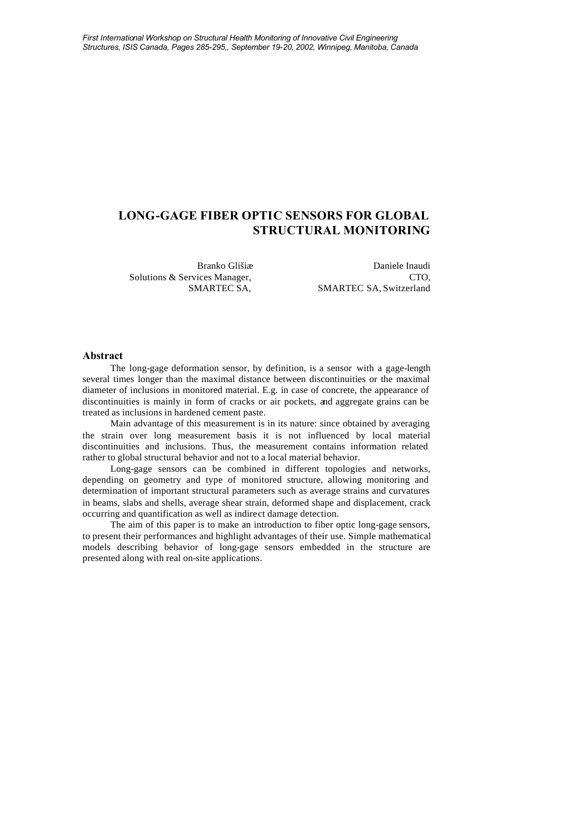# **LONG-GAGE FIBER OPTIC SENSORS FOR GLOBAL STRUCTURAL MONITORING**

Branko Glišiæ Solutions & Services Manager, SMARTEC SA,

Daniele Inaudi  $CTO$ SMARTEC SA, Switzerland

### **Abstract**

The long-gage deformation sensor, by definition, is a sensor with a gage-length several times longer than the maximal distance between discontinuities or the maximal diameter of inclusions in monitored material. E.g. in case of concrete, the appearance of discontinuities is mainly in form of cracks or air pockets, and aggregate grains can be treated as inclusions in hardened cement paste.

Main advantage of this measurement is in its nature: since obtained by averaging the strain over long measurement basis it is not influenced by local material discontinuities and inclusions. Thus, the measurement contains information related rather to global structural behavior and not to a local material behavior.

Long-gage sensors can be combined in different topologies and networks, depending on geometry and type of monitored structure, allowing monitoring and determination of important structural parameters such as average strains and curvatures in beams, slabs and shells, average shear strain, deformed shape and displacement, crack occurring and quantification as well as indirect damage detection.

The aim of this paper is to make an introduction to fiber optic long-gage sensors, to present their performances and highlight advantages of their use. Simple mathematical models describing behavior of long-gage sensors embedded in the structure are presented along with real on-site applications.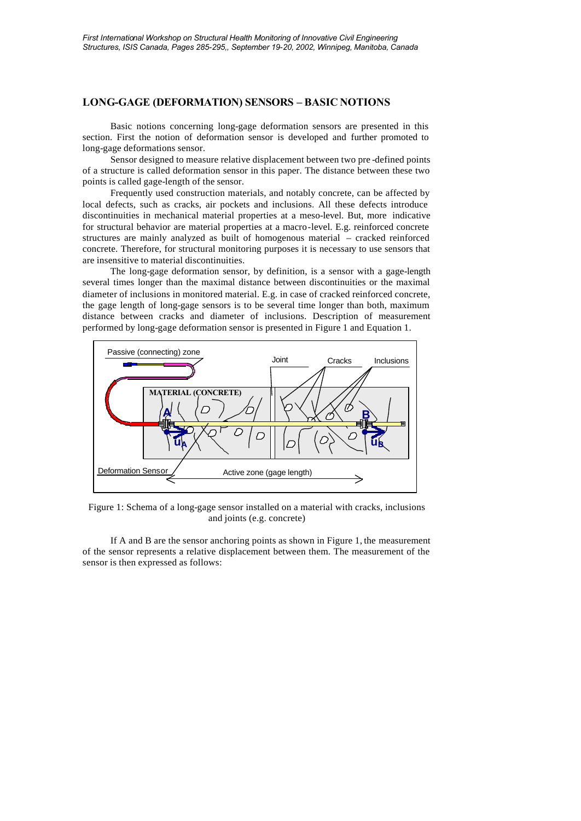### **LONG-GAGE (DEFORMATION) SENSORS – BASIC NOTIONS**

Basic notions concerning long-gage deformation sensors are presented in this section. First the notion of deformation sensor is developed and further promoted to long-gage deformations sensor.

Sensor designed to measure relative displacement between two pre -defined points of a structure is called deformation sensor in this paper. The distance between these two points is called gage-length of the sensor.

Frequently used construction materials, and notably concrete, can be affected by local defects, such as cracks, air pockets and inclusions. All these defects introduce discontinuities in mechanical material properties at a meso-level. But, more indicative for structural behavior are material properties at a macro-level. E.g. reinforced concrete structures are mainly analyzed as built of homogenous material – cracked reinforced concrete. Therefore, for structural monitoring purposes it is necessary to use sensors that are insensitive to material discontinuities.

The long-gage deformation sensor, by definition, is a sensor with a gage-length several times longer than the maximal distance between discontinuities or the maximal diameter of inclusions in monitored material. E.g. in case of cracked reinforced concrete, the gage length of long-gage sensors is to be several time longer than both, maximum distance between cracks and diameter of inclusions. Description of measurement performed by long-gage deformation sensor is presented in Figure 1 and Equation 1.



Figure 1: Schema of a long-gage sensor installed on a material with cracks, inclusions and joints (e.g. concrete)

If A and B are the sensor anchoring points as shown in Figure 1, the measurement of the sensor represents a relative displacement between them. The measurement of the sensor is then expressed as follows: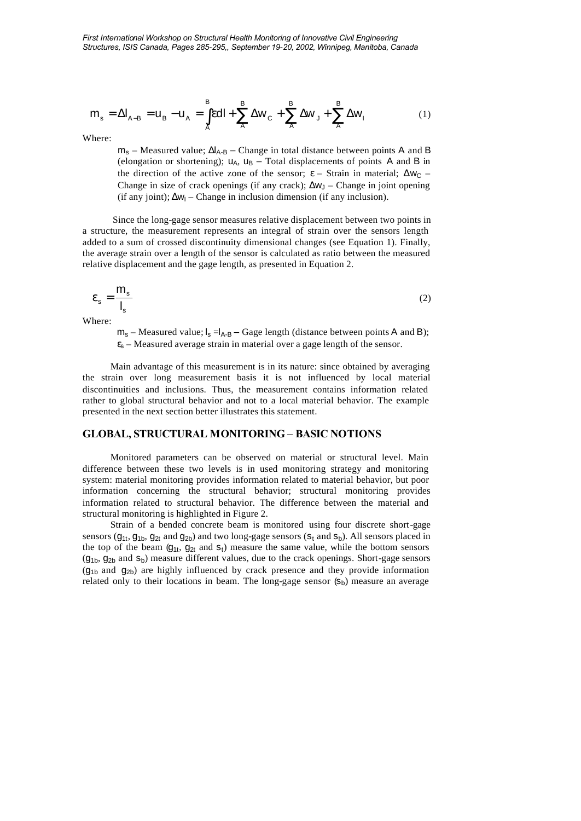$$
\mathsf{m}_{s} = \Delta \mathsf{I}_{A-B} = \mathsf{u}_{B} - \mathsf{u}_{A} = \int_{A}^{B} \varepsilon d\mathsf{I} + \sum_{A}^{B} \Delta \mathsf{w}_{C} + \sum_{A}^{B} \Delta \mathsf{w}_{J} + \sum_{A}^{B} \Delta \mathsf{w}_{I} \tag{1}
$$

Where:

 $m_s$  – Measured value;  $\Delta I_{A-B}$  – Change in total distance between points A and B (elongation or shortening);  $u_A$ ,  $u_B$  – Total displacements of points A and B in the direction of the active zone of the sensor;  $\epsilon$  – Strain in material;  $\Delta w_C$  – Change in size of crack openings (if any crack);  $\Delta w_J$  – Change in joint opening (if any joint);  $\Delta w_1$  – Change in inclusion dimension (if any inclusion).

 Since the long-gage sensor measures relative displacement between two points in a structure, the measurement represents an integral of strain over the sensors length added to a sum of crossed discontinuity dimensional changes (see Equation 1). Finally, the average strain over a length of the sensor is calculated as ratio between the measured relative displacement and the gage length, as presented in Equation 2.

$$
\varepsilon_{s} = \frac{m_{s}}{l_{s}}\tag{2}
$$

Where:

 $m_s$  – Measured value;  $I_s = I_{A-B}$  – Gage length (distance between points A and B);  $\varepsilon_s$  – Measured average strain in material over a gage length of the sensor.

Main advantage of this measurement is in its nature: since obtained by averaging the strain over long measurement basis it is not influenced by local material discontinuities and inclusions. Thus, the measurement contains information related rather to global structural behavior and not to a local material behavior. The example presented in the next section better illustrates this statement.

#### **GLOBAL, STRUCTURAL MONITORING – BASIC NOTIONS**

Monitored parameters can be observed on material or structural level. Main difference between these two levels is in used monitoring strategy and monitoring system: material monitoring provides information related to material behavior, but poor information concerning the structural behavior; structural monitoring provides information related to structural behavior. The difference between the material and structural monitoring is highlighted in Figure 2.

Strain of a bended concrete beam is monitored using four discrete short-gage sensors ( $g_{1t}$ ,  $g_{1b}$ ,  $g_{2t}$  and  $g_{2b}$ ) and two long-gage sensors ( $s_t$  and  $s_b$ ). All sensors placed in the top of the beam  $(g_{1t}, g_{2t}$  and  $s_t)$  measure the same value, while the bottom sensors (g1b, g2b and sb) measure different values, due to the crack openings. Short-gage sensors (g1b and g2b) are highly influenced by crack presence and they provide information related only to their locations in beam. The long-gage sensor  $(S_b)$  measure an average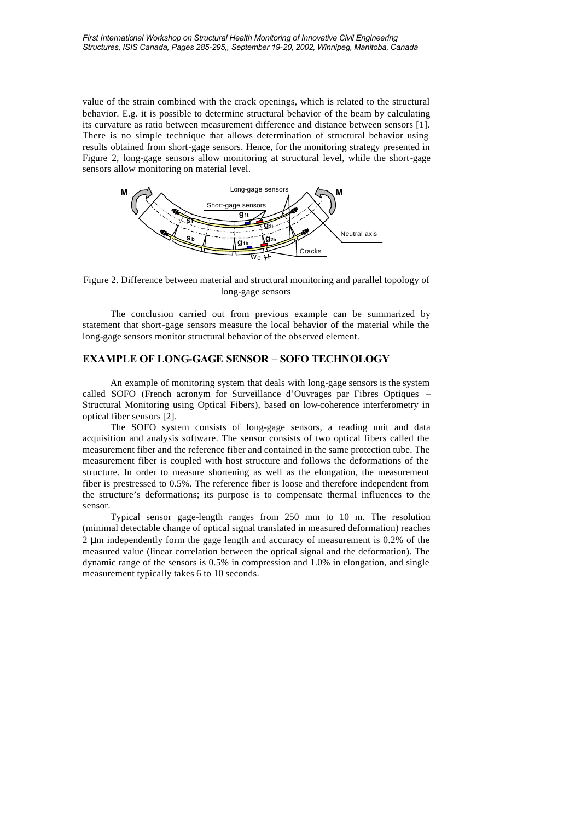value of the strain combined with the crack openings, which is related to the structural behavior. E.g. it is possible to determine structural behavior of the beam by calculating its curvature as ratio between measurement difference and distance between sensors [1]. There is no simple technique that allows determination of structural behavior using results obtained from short-gage sensors. Hence, for the monitoring strategy presented in Figure 2, long-gage sensors allow monitoring at structural level, while the short-gage sensors allow monitoring on material level.



Figure 2. Difference between material and structural monitoring and parallel topology of long-gage sensors

The conclusion carried out from previous example can be summarized by statement that short-gage sensors measure the local behavior of the material while the long-gage sensors monitor structural behavior of the observed element.

# **EXAMPLE OF LONG-GAGE SENSOR – SOFO TECHNOLOGY**

An example of monitoring system that deals with long-gage sensors is the system called SOFO (French acronym for Surveillance d'Ouvrages par Fibres Optiques – Structural Monitoring using Optical Fibers), based on low-coherence interferometry in optical fiber sensors [2].

The SOFO system consists of long-gage sensors, a reading unit and data acquisition and analysis software. The sensor consists of two optical fibers called the measurement fiber and the reference fiber and contained in the same protection tube. The measurement fiber is coupled with host structure and follows the deformations of the structure. In order to measure shortening as well as the elongation, the measurement fiber is prestressed to 0.5%. The reference fiber is loose and therefore independent from the structure's deformations; its purpose is to compensate thermal influences to the sensor.

Typical sensor gage-length ranges from 250 mm to 10 m. The resolution (minimal detectable change of optical signal translated in measured deformation) reaches 2 μm independently form the gage length and accuracy of measurement is 0.2% of the measured value (linear correlation between the optical signal and the deformation). The dynamic range of the sensors is 0.5% in compression and 1.0% in elongation, and single measurement typically takes 6 to 10 seconds.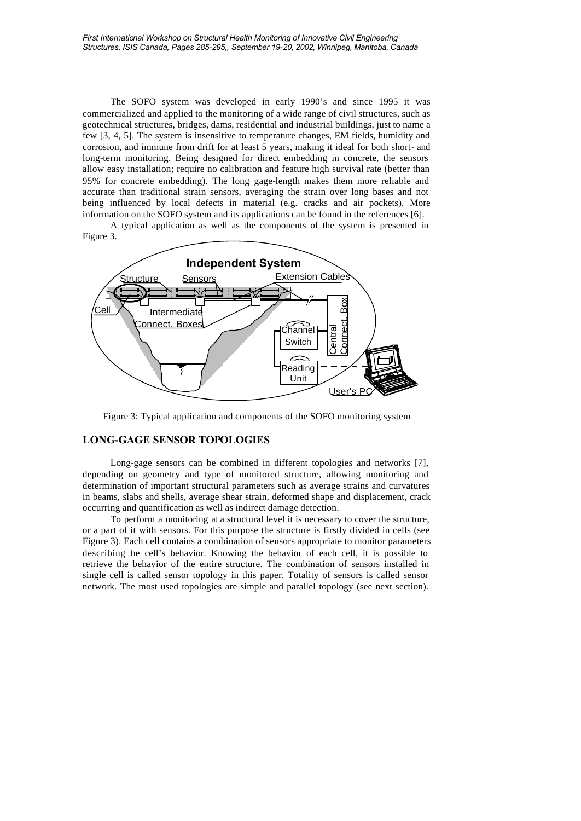The SOFO system was developed in early 1990's and since 1995 it was commercialized and applied to the monitoring of a wide range of civil structures, such as geotechnical structures, bridges, dams, residential and industrial buildings, just to name a few [3, 4, 5]. The system is insensitive to temperature changes, EM fields, humidity and corrosion, and immune from drift for at least 5 years, making it ideal for both short- and long-term monitoring. Being designed for direct embedding in concrete, the sensors allow easy installation; require no calibration and feature high survival rate (better than 95% for concrete embedding). The long gage-length makes them more reliable and accurate than traditional strain sensors, averaging the strain over long bases and not being influenced by local defects in material (e.g. cracks and air pockets). More information on the SOFO system and its applications can be found in the references [6].

A typical application as well as the components of the system is presented in Figure 3.



Figure 3: Typical application and components of the SOFO monitoring system

### **LONG-GAGE SENSOR TOPOLOGIES**

Long-gage sensors can be combined in different topologies and networks [7], depending on geometry and type of monitored structure, allowing monitoring and determination of important structural parameters such as average strains and curvatures in beams, slabs and shells, average shear strain, deformed shape and displacement, crack occurring and quantification as well as indirect damage detection.

To perform a monitoring at a structural level it is necessary to cover the structure, or a part of it with sensors. For this purpose the structure is firstly divided in cells (see Figure 3). Each cell contains a combination of sensors appropriate to monitor parameters describing the cell's behavior. Knowing the behavior of each cell, it is possible to retrieve the behavior of the entire structure. The combination of sensors installed in single cell is called sensor topology in this paper. Totality of sensors is called sensor network. The most used topologies are simple and parallel topology (see next section).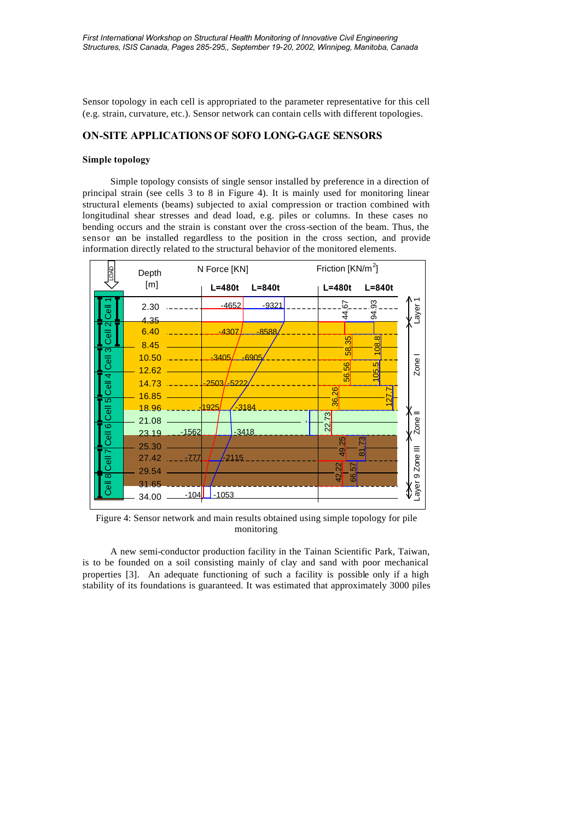Sensor topology in each cell is appropriated to the parameter representative for this cell (e.g. strain, curvature, etc.). Sensor network can contain cells with different topologies.

# **ON-SITE APPLICATIONS OF SOFO LONG-GAGE SENSORS**

#### **Simple topology**

Simple topology consists of single sensor installed by preference in a direction of principal strain (see cells 3 to 8 in Figure 4). It is mainly used for monitoring linear structural elements (beams) subjected to axial compression or traction combined with longitudinal shear stresses and dead load, e.g. piles or columns. In these cases no bending occurs and the strain is constant over the cross-section of the beam. Thus, the sensor can be installed regardless to the position in the cross section, and provide information directly related to the structural behavior of the monitored elements.



Figure 4: Sensor network and main results obtained using simple topology for pile monitoring

A new semi-conductor production facility in the Tainan Scientific Park, Taiwan, is to be founded on a soil consisting mainly of clay and sand with poor mechanical properties [3]. An adequate functioning of such a facility is possible only if a high stability of its foundations is guaranteed. It was estimated that approximately 3000 piles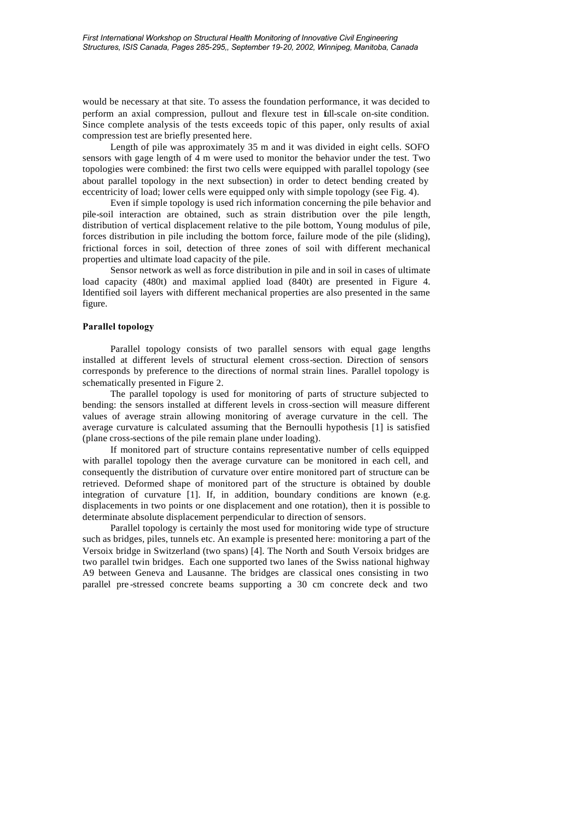would be necessary at that site. To assess the foundation performance, it was decided to perform an axial compression, pullout and flexure test in full-scale on-site condition. Since complete analysis of the tests exceeds topic of this paper, only results of axial compression test are briefly presented here.

Length of pile was approximately 35 m and it was divided in eight cells. SOFO sensors with gage length of 4 m were used to monitor the behavior under the test. Two topologies were combined: the first two cells were equipped with parallel topology (see about parallel topology in the next subsection) in order to detect bending created by eccentricity of load; lower cells were equipped only with simple topology (see Fig. 4).

Even if simple topology is used rich information concerning the pile behavior and pile-soil interaction are obtained, such as strain distribution over the pile length, distribution of vertical displacement relative to the pile bottom, Young modulus of pile, forces distribution in pile including the bottom force, failure mode of the pile (sliding), frictional forces in soil, detection of three zones of soil with different mechanical properties and ultimate load capacity of the pile.

Sensor network as well as force distribution in pile and in soil in cases of ultimate load capacity (480t) and maximal applied load (840t) are presented in Figure 4. Identified soil layers with different mechanical properties are also presented in the same figure.

### **Parallel topology**

Parallel topology consists of two parallel sensors with equal gage lengths installed at different levels of structural element cross-section. Direction of sensors corresponds by preference to the directions of normal strain lines. Parallel topology is schematically presented in Figure 2.

The parallel topology is used for monitoring of parts of structure subjected to bending: the sensors installed at different levels in cross-section will measure different values of average strain allowing monitoring of average curvature in the cell. The average curvature is calculated assuming that the Bernoulli hypothesis [1] is satisfied (plane cross-sections of the pile remain plane under loading).

If monitored part of structure contains representative number of cells equipped with parallel topology then the average curvature can be monitored in each cell, and consequently the distribution of curvature over entire monitored part of structure can be retrieved. Deformed shape of monitored part of the structure is obtained by double integration of curvature [1]. If, in addition, boundary conditions are known (e.g. displacements in two points or one displacement and one rotation), then it is possible to determinate absolute displacement perpendicular to direction of sensors.

Parallel topology is certainly the most used for monitoring wide type of structure such as bridges, piles, tunnels etc. An example is presented here: monitoring a part of the Versoix bridge in Switzerland (two spans) [4]. The North and South Versoix bridges are two parallel twin bridges. Each one supported two lanes of the Swiss national highway A9 between Geneva and Lausanne. The bridges are classical ones consisting in two parallel pre -stressed concrete beams supporting a 30 cm concrete deck and two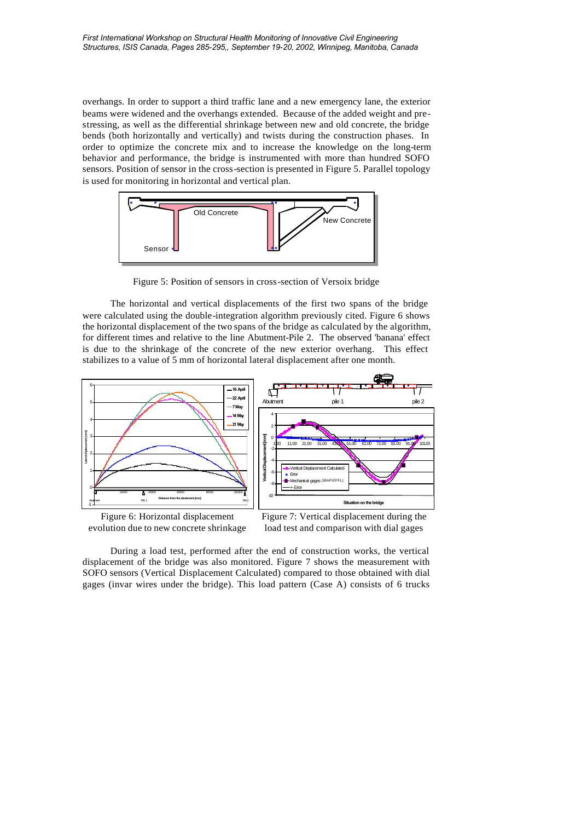overhangs. In order to support a third traffic lane and a new emergency lane, the exterior beams were widened and the overhangs extended. Because of the added weight and prestressing, as well as the differential shrinkage between new and old concrete, the bridge bends (both horizontally and vertically) and twists during the construction phases. In order to optimize the concrete mix and to increase the knowledge on the long-term behavior and performance, the bridge is instrumented with more than hundred SOFO sensors. Position of sensor in the cross-section is presented in Figure 5. Parallel topology is used for monitoring in horizontal and vertical plan.



Figure 5: Position of sensors in cross-section of Versoix bridge

The horizontal and vertical displacements of the first two spans of the bridge were calculated using the double-integration algorithm previously cited. Figure 6 shows the horizontal displacement of the two spans of the bridge as calculated by the algorithm, for different times and relative to the line Abutment-Pile 2. The observed 'banana' effect is due to the shrinkage of the concrete of the new exterior overhang. This effect stabilizes to a value of 5 mm of horizontal lateral displacement after one month.



Figure 6: Horizontal displacement evolution due to new concrete shrinkage

Figure 7: Vertical displacement during the load test and comparison with dial gages

During a load test, performed after the end of construction works, the vertical displacement of the bridge was also monitored. Figure 7 shows the measurement with SOFO sensors (Vertical Displacement Calculated) compared to those obtained with dial gages (invar wires under the bridge). This load pattern (Case A) consists of 6 trucks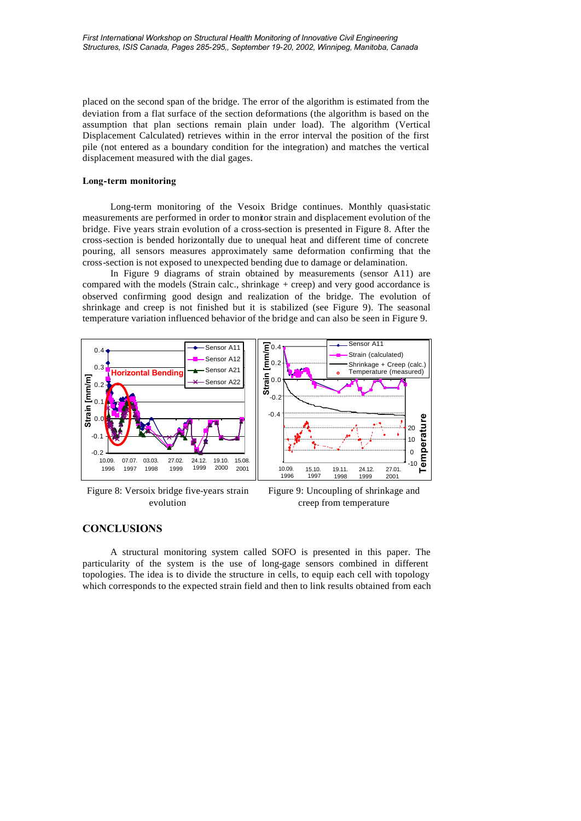placed on the second span of the bridge. The error of the algorithm is estimated from the deviation from a flat surface of the section deformations (the algorithm is based on the assumption that plan sections remain plain under load). The algorithm (Vertical Displacement Calculated) retrieves within in the error interval the position of the first pile (not entered as a boundary condition for the integration) and matches the vertical displacement measured with the dial gages.

#### **Long-term monitoring**

Long-term monitoring of the Vesoix Bridge continues. Monthly quasi-static measurements are performed in order to monitor strain and displacement evolution of the bridge. Five years strain evolution of a cross-section is presented in Figure 8. After the cross-section is bended horizontally due to unequal heat and different time of concrete pouring, all sensors measures approximately same deformation confirming that the cross-section is not exposed to unexpected bending due to damage or delamination.

In Figure 9 diagrams of strain obtained by measurements (sensor A11) are compared with the models (Strain calc., shrinkage + creep) and very good accordance is observed confirming good design and realization of the bridge. The evolution of shrinkage and creep is not finished but it is stabilized (see Figure 9). The seasonal temperature variation influenced behavior of the bridge and can also be seen in Figure 9.



Figure 8: Versoix bridge five-years strain evolution

Figure 9: Uncoupling of shrinkage and creep from temperature

## **CONCLUSIONS**

A structural monitoring system called SOFO is presented in this paper. The particularity of the system is the use of long-gage sensors combined in different topologies. The idea is to divide the structure in cells, to equip each cell with topology which corresponds to the expected strain field and then to link results obtained from each